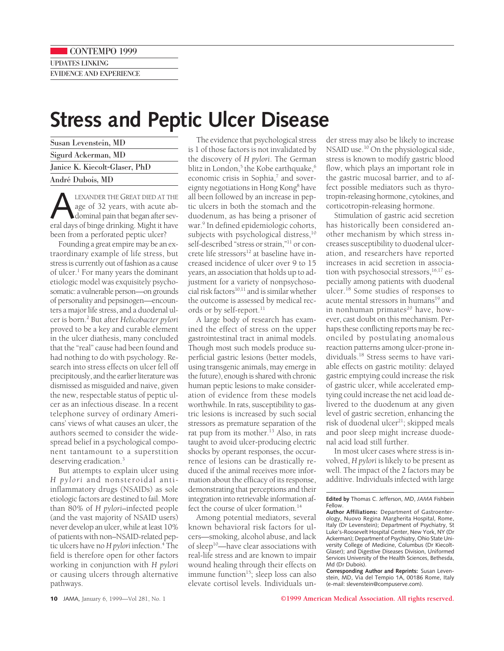## **Stress and Peptic Ulcer Disease**

| Susan Levenstein, MD          |
|-------------------------------|
| Sigurd Ackerman, MD           |
| Janice K. Kiecolt-Glaser, PhD |
| André Dubois, MD              |

**ALEXANDER THE GREAT DIED AT THE**<br>age of 32 years, with acute ab-<br>dominal pain that began after sev-<br>eral days of binge drinking. Might it have age of 32 years, with acute abdominal pain that began after sevbeen from a perforated peptic ulcer?

Founding a great empire may be an extraordinary example of life stress, but stress is currently out of fashion as a cause of ulcer.1 For many years the dominant etiologic model was exquisitely psychosomatic: a vulnerable person—on grounds of personality and pepsinogen—encounters a major life stress, and a duodenal ulcer is born.2 But after *Helicobacter pylori* proved to be a key and curable element in the ulcer diathesis, many concluded that the "real" cause had been found and had nothing to do with psychology. Research into stress effects on ulcer fell off precipitously, and the earlier literature was dismissed as misguided and naive, given the new, respectable status of peptic ulcer as an infectious disease. In a recent telephone survey of ordinary Americans' views of what causes an ulcer, the authors seemed to consider the widespread belief in a psychological component tantamount to a superstition deserving eradication.<sup>3</sup>

But attempts to explain ulcer using *H pylori* and nonsteroidal antiinflammatory drugs (NSAIDs) as sole etiologic factors are destined to fail. More than 80% of *H pylori–*infected people (and the vast majority of NSAID users) never develop an ulcer, while at least 10% of patients with non–NSAID-related peptic ulcers have no*H pylori* infection.4 The field is therefore open for other factors working in conjunction with *H pylori* or causing ulcers through alternative pathways.

The evidence that psychological stress is 1 of those factors is not invalidated by the discovery of *H pylori*. The German blitz in London,<sup>5</sup> the Kobe earthquake,<sup>6</sup> economic crisis in Sophia,<sup>7</sup> and sovereignty negotiations in Hong Kong<sup>8</sup> have all been followed by an increase in peptic ulcers in both the stomach and the duodenum, as has being a prisoner of war.<sup>9</sup> In defined epidemiologic cohorts, subjects with psychological distress,<sup>10</sup> self-described "stress or strain,"<sup>11</sup> or concrete life stressors<sup>12</sup> at baseline have increased incidence of ulcer over 9 to 15 years, an association that holds up to adjustment for a variety of nonpsychosocial risk factors $^{10,11}$  and is similar whether the outcome is assessed by medical records or by self-report.<sup>11</sup>

A large body of research has examined the effect of stress on the upper gastrointestinal tract in animal models. Though most such models produce superficial gastric lesions (better models, using transgenic animals, may emerge in the future), enough is shared with chronic human peptic lesions to make consideration of evidence from these models worthwhile. In rats, susceptibility to gastric lesions is increased by such social stressors as premature separation of the rat pup from its mother.<sup>13</sup> Also, in rats taught to avoid ulcer-producing electric shocks by operant responses, the occurrence of lesions can be drastically reduced if the animal receives more information about the efficacy of its response, demonstrating that perceptions and their integration into retrievable information affect the course of ulcer formation.<sup>14</sup>

Among potential mediators, several known behavioral risk factors for ulcers—smoking, alcohol abuse, and lack of sleep<sup>10</sup>—have clear associations with real-life stress and are known to impair wound healing through their effects on immune function $15$ ; sleep loss can also elevate cortisol levels. Individuals un-

der stress may also be likely to increase NSAID use.<sup>10</sup> On the physiological side, stress is known to modify gastric blood flow, which plays an important role in the gastric mucosal barrier, and to affect possible mediators such as thyrotropin-releasing hormone, cytokines, and corticotropin-releasing hormone.

Stimulation of gastric acid secretion has historically been considered another mechanism by which stress increases susceptibility to duodenal ulceration, and researchers have reported increases in acid secretion in association with psychosocial stressors,<sup>16,17</sup> especially among patients with duodenal ulcer.<sup>18</sup> Some studies of responses to acute mental stressors in humans<sup>19</sup> and in nonhuman primates $20$  have, however, cast doubt on this mechanism. Perhaps these conflicting reports may be reconciled by postulating anomalous reaction patterns among ulcer-prone individuals.18 Stress seems to have variable effects on gastric motility: delayed gastric emptying could increase the risk of gastric ulcer, while accelerated emptying could increase the net acid load delivered to the duodenum at any given level of gastric secretion, enhancing the risk of duodenal ulcer<sup>21</sup>; skipped meals and poor sleep might increase duodenal acid load still further.

In most ulcer cases where stress is involved, *H pylori* is likely to be present as well. The impact of the 2 factors may be additive. Individuals infected with large

**Edited by** Thomas C. Jefferson, MD, *JAMA* Fishbein Fellow.

**Author Affiliations:** Department of Gastroenterology, Nuovo Regina Margherita Hospital, Rome, Italy (Dr Levenstein); Department of Psychiatry, St Luke's-Roosevelt Hospital Center, New York, NY (Dr Ackerman); Department of Psychiatry, Ohio State University College of Medicine, Columbus (Dr Kiecolt-Glaser); and Digestive Diseases Division, Uniformed Services University of the Health Sciences, Bethesda, Md (Dr Dubois).

**Corresponding Author and Reprints:** Susan Levenstein, MD, Via del Tempio 1A, 00186 Rome, Italy (e-mail: slevenstein@compuserve.com).